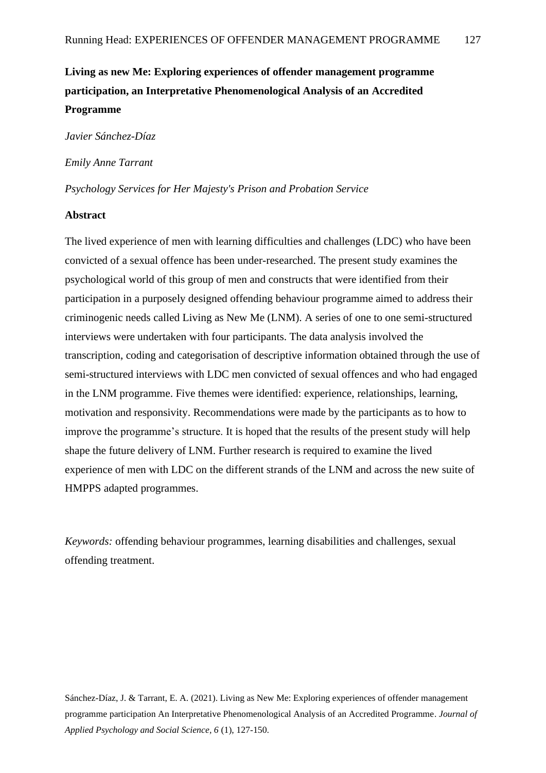# **Living as new Me: Exploring experiences of offender management programme participation, an Interpretative Phenomenological Analysis of an Accredited Programme**

*Javier Sánchez-Díaz*

*Emily Anne Tarrant*

*Psychology Services for Her Majesty's Prison and Probation Service*

# **Abstract**

The lived experience of men with learning difficulties and challenges (LDC) who have been convicted of a sexual offence has been under-researched. The present study examines the psychological world of this group of men and constructs that were identified from their participation in a purposely designed offending behaviour programme aimed to address their criminogenic needs called Living as New Me (LNM). A series of one to one semi-structured interviews were undertaken with four participants. The data analysis involved the transcription, coding and categorisation of descriptive information obtained through the use of semi-structured interviews with LDC men convicted of sexual offences and who had engaged in the LNM programme. Five themes were identified: experience, relationships, learning, motivation and responsivity. Recommendations were made by the participants as to how to improve the programme's structure. It is hoped that the results of the present study will help shape the future delivery of LNM. Further research is required to examine the lived experience of men with LDC on the different strands of the LNM and across the new suite of HMPPS adapted programmes.

*Keywords:* offending behaviour programmes, learning disabilities and challenges, sexual offending treatment.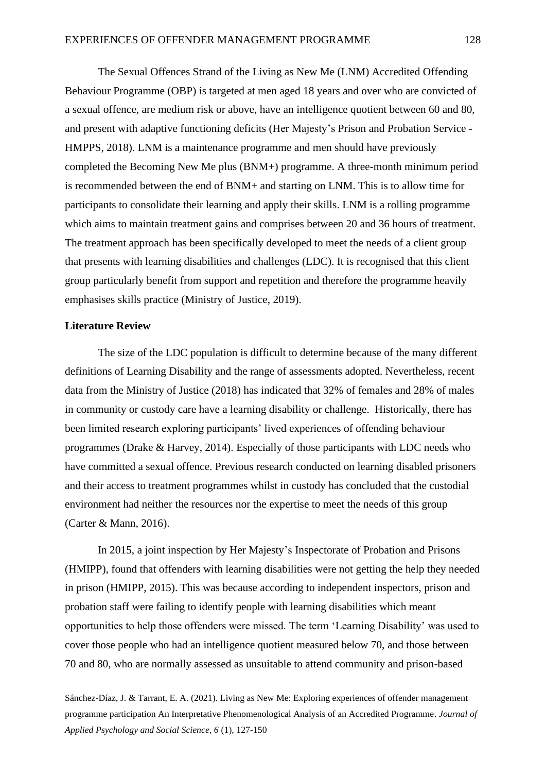The Sexual Offences Strand of the Living as New Me (LNM) Accredited Offending Behaviour Programme (OBP) is targeted at men aged 18 years and over who are convicted of a sexual offence, are medium risk or above, have an intelligence quotient between 60 and 80, and present with adaptive functioning deficits (Her Majesty's Prison and Probation Service - HMPPS, 2018). LNM is a maintenance programme and men should have previously completed the Becoming New Me plus (BNM+) programme. A three-month minimum period is recommended between the end of BNM+ and starting on LNM. This is to allow time for participants to consolidate their learning and apply their skills. LNM is a rolling programme which aims to maintain treatment gains and comprises between 20 and 36 hours of treatment. The treatment approach has been specifically developed to meet the needs of a client group that presents with learning disabilities and challenges (LDC). It is recognised that this client group particularly benefit from support and repetition and therefore the programme heavily emphasises skills practice (Ministry of Justice, 2019).

## **Literature Review**

The size of the LDC population is difficult to determine because of the many different definitions of Learning Disability and the range of assessments adopted. Nevertheless, recent data from the Ministry of Justice (2018) has indicated that 32% of females and 28% of males in community or custody care have a learning disability or challenge. Historically, there has been limited research exploring participants' lived experiences of offending behaviour programmes (Drake & Harvey, 2014). Especially of those participants with LDC needs who have committed a sexual offence. Previous research conducted on learning disabled prisoners and their access to treatment programmes whilst in custody has concluded that the custodial environment had neither the resources nor the expertise to meet the needs of this group (Carter & Mann, 2016).

In 2015, a joint inspection by Her Majesty's Inspectorate of Probation and Prisons (HMIPP), found that offenders with learning disabilities were not getting the help they needed in prison (HMIPP, 2015). This was because according to independent inspectors, prison and probation staff were failing to identify people with learning disabilities which meant opportunities to help those offenders were missed. The term 'Learning Disability' was used to cover those people who had an intelligence quotient measured below 70, and those between 70 and 80, who are normally assessed as unsuitable to attend community and prison-based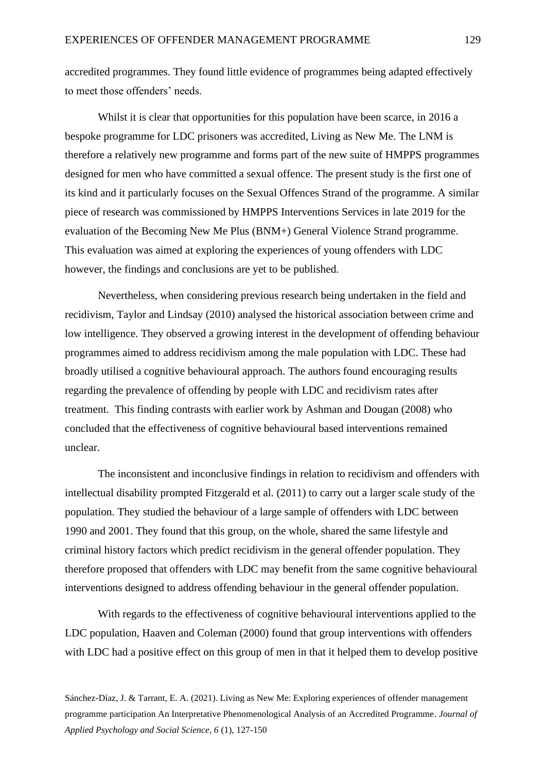accredited programmes. They found little evidence of programmes being adapted effectively to meet those offenders' needs.

Whilst it is clear that opportunities for this population have been scarce, in 2016 a bespoke programme for LDC prisoners was accredited, Living as New Me. The LNM is therefore a relatively new programme and forms part of the new suite of HMPPS programmes designed for men who have committed a sexual offence. The present study is the first one of its kind and it particularly focuses on the Sexual Offences Strand of the programme. A similar piece of research was commissioned by HMPPS Interventions Services in late 2019 for the evaluation of the Becoming New Me Plus (BNM+) General Violence Strand programme. This evaluation was aimed at exploring the experiences of young offenders with LDC however, the findings and conclusions are yet to be published.

Nevertheless, when considering previous research being undertaken in the field and recidivism, Taylor and Lindsay (2010) analysed the historical association between crime and low intelligence. They observed a growing interest in the development of offending behaviour programmes aimed to address recidivism among the male population with LDC. These had broadly utilised a cognitive behavioural approach. The authors found encouraging results regarding the prevalence of offending by people with LDC and recidivism rates after treatment. This finding contrasts with earlier work by Ashman and Dougan (2008) who concluded that the effectiveness of cognitive behavioural based interventions remained unclear.

The inconsistent and inconclusive findings in relation to recidivism and offenders with intellectual disability prompted Fitzgerald et al. (2011) to carry out a larger scale study of the population. They studied the behaviour of a large sample of offenders with LDC between 1990 and 2001. They found that this group, on the whole, shared the same lifestyle and criminal history factors which predict recidivism in the general offender population. They therefore proposed that offenders with LDC may benefit from the same cognitive behavioural interventions designed to address offending behaviour in the general offender population.

With regards to the effectiveness of cognitive behavioural interventions applied to the LDC population, Haaven and Coleman (2000) found that group interventions with offenders with LDC had a positive effect on this group of men in that it helped them to develop positive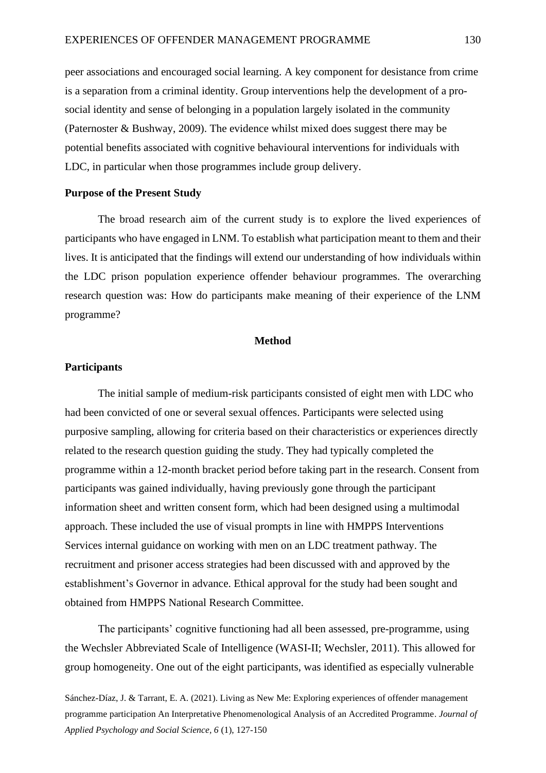peer associations and encouraged social learning. A key component for desistance from crime is a separation from a criminal identity. Group interventions help the development of a prosocial identity and sense of belonging in a population largely isolated in the community (Paternoster & Bushway, 2009). The evidence whilst mixed does suggest there may be potential benefits associated with cognitive behavioural interventions for individuals with LDC, in particular when those programmes include group delivery.

### **Purpose of the Present Study**

The broad research aim of the current study is to explore the lived experiences of participants who have engaged in LNM. To establish what participation meant to them and their lives. It is anticipated that the findings will extend our understanding of how individuals within the LDC prison population experience offender behaviour programmes. The overarching research question was: How do participants make meaning of their experience of the LNM programme?

### **Method**

### **Participants**

The initial sample of medium-risk participants consisted of eight men with LDC who had been convicted of one or several sexual offences. Participants were selected using purposive sampling, allowing for criteria based on their characteristics or experiences directly related to the research question guiding the study. They had typically completed the programme within a 12-month bracket period before taking part in the research. Consent from participants was gained individually, having previously gone through the participant information sheet and written consent form, which had been designed using a multimodal approach. These included the use of visual prompts in line with HMPPS Interventions Services internal guidance on working with men on an LDC treatment pathway. The recruitment and prisoner access strategies had been discussed with and approved by the establishment's Governor in advance. Ethical approval for the study had been sought and obtained from HMPPS National Research Committee.

The participants' cognitive functioning had all been assessed, pre-programme, using the Wechsler Abbreviated Scale of Intelligence (WASI-II; Wechsler, 2011). This allowed for group homogeneity. One out of the eight participants, was identified as especially vulnerable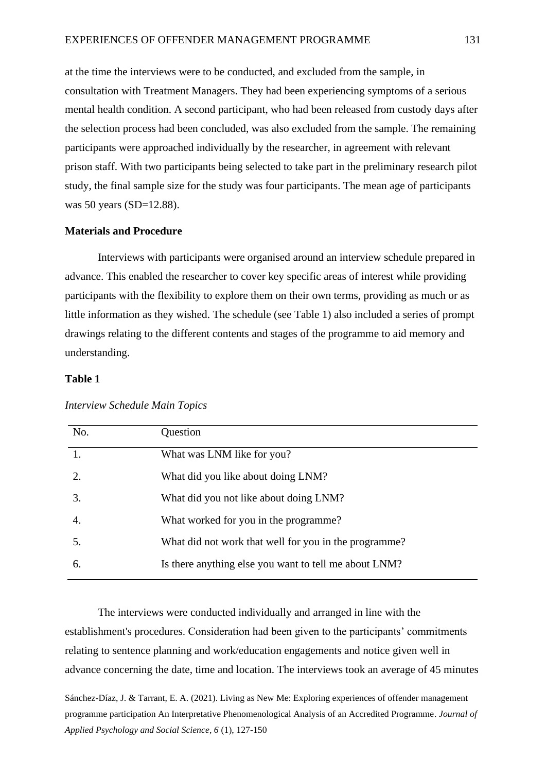at the time the interviews were to be conducted, and excluded from the sample, in consultation with Treatment Managers. They had been experiencing symptoms of a serious mental health condition. A second participant, who had been released from custody days after the selection process had been concluded, was also excluded from the sample. The remaining participants were approached individually by the researcher, in agreement with relevant prison staff. With two participants being selected to take part in the preliminary research pilot study, the final sample size for the study was four participants. The mean age of participants was 50 years (SD=12.88).

# **Materials and Procedure**

Interviews with participants were organised around an interview schedule prepared in advance. This enabled the researcher to cover key specific areas of interest while providing participants with the flexibility to explore them on their own terms, providing as much or as little information as they wished. The schedule (see Table 1) also included a series of prompt drawings relating to the different contents and stages of the programme to aid memory and understanding.

# **Table 1**

| No. | Question                                              |
|-----|-------------------------------------------------------|
|     | What was LNM like for you?                            |
| 2.  | What did you like about doing LNM?                    |
| 3.  | What did you not like about doing LNM?                |
| 4.  | What worked for you in the programme?                 |
| 5.  | What did not work that well for you in the programme? |
| 6.  | Is there anything else you want to tell me about LNM? |

# *Interview Schedule Main Topics*

The interviews were conducted individually and arranged in line with the establishment's procedures. Consideration had been given to the participants' commitments relating to sentence planning and work/education engagements and notice given well in advance concerning the date, time and location. The interviews took an average of 45 minutes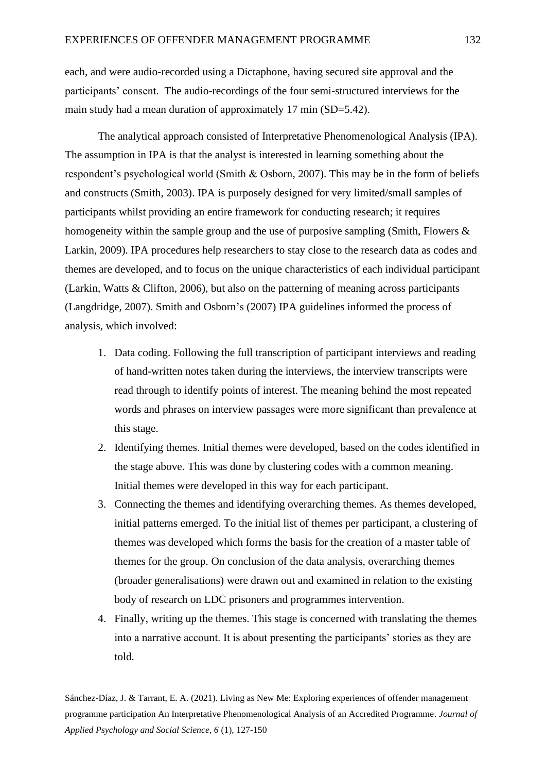each, and were audio-recorded using a Dictaphone, having secured site approval and the participants' consent. The audio-recordings of the four semi-structured interviews for the main study had a mean duration of approximately 17 min (SD=5.42).

The analytical approach consisted of Interpretative Phenomenological Analysis (IPA). The assumption in IPA is that the analyst is interested in learning something about the respondent's psychological world (Smith & Osborn, 2007). This may be in the form of beliefs and constructs (Smith, 2003). IPA is purposely designed for very limited/small samples of participants whilst providing an entire framework for conducting research; it requires homogeneity within the sample group and the use of purposive sampling (Smith, Flowers & Larkin, 2009). IPA procedures help researchers to stay close to the research data as codes and themes are developed, and to focus on the unique characteristics of each individual participant (Larkin, Watts & Clifton, 2006), but also on the patterning of meaning across participants (Langdridge, 2007). Smith and Osborn's (2007) IPA guidelines informed the process of analysis, which involved:

- 1. Data coding. Following the full transcription of participant interviews and reading of hand-written notes taken during the interviews, the interview transcripts were read through to identify points of interest. The meaning behind the most repeated words and phrases on interview passages were more significant than prevalence at this stage.
- 2. Identifying themes. Initial themes were developed, based on the codes identified in the stage above. This was done by clustering codes with a common meaning. Initial themes were developed in this way for each participant.
- 3. Connecting the themes and identifying overarching themes. As themes developed, initial patterns emerged. To the initial list of themes per participant, a clustering of themes was developed which forms the basis for the creation of a master table of themes for the group. On conclusion of the data analysis, overarching themes (broader generalisations) were drawn out and examined in relation to the existing body of research on LDC prisoners and programmes intervention.
- 4. Finally, writing up the themes. This stage is concerned with translating the themes into a narrative account. It is about presenting the participants' stories as they are told.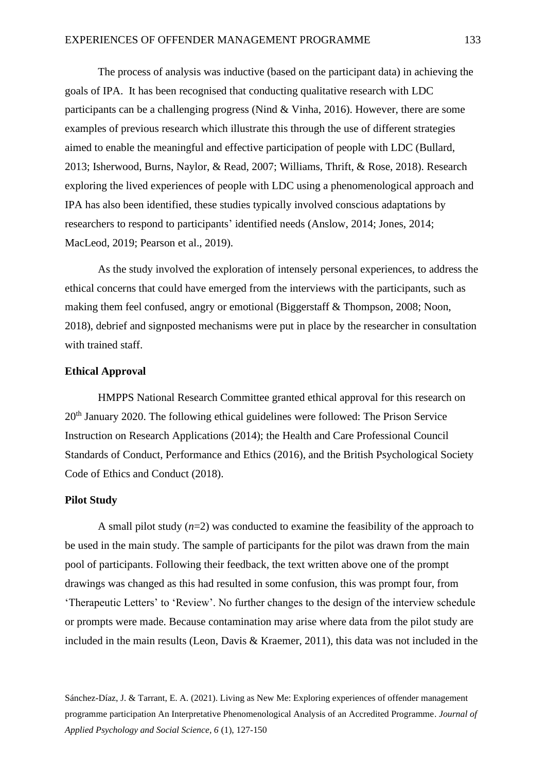The process of analysis was inductive (based on the participant data) in achieving the goals of IPA. It has been recognised that conducting qualitative research with LDC participants can be a challenging progress (Nind & Vinha, 2016). However, there are some examples of previous research which illustrate this through the use of different strategies aimed to enable the meaningful and effective participation of people with LDC (Bullard, 2013; Isherwood, Burns, Naylor, & Read, 2007; Williams, Thrift, & Rose, 2018). Research exploring the lived experiences of people with LDC using a phenomenological approach and IPA has also been identified, these studies typically involved conscious adaptations by researchers to respond to participants' identified needs (Anslow, 2014; Jones, 2014; MacLeod, 2019; Pearson et al., 2019).

As the study involved the exploration of intensely personal experiences, to address the ethical concerns that could have emerged from the interviews with the participants, such as making them feel confused, angry or emotional (Biggerstaff & Thompson, 2008; Noon, 2018), debrief and signposted mechanisms were put in place by the researcher in consultation with trained staff.

# **Ethical Approval**

HMPPS National Research Committee granted ethical approval for this research on 20th January 2020. The following ethical guidelines were followed: The Prison Service Instruction on Research Applications (2014); the Health and Care Professional Council Standards of Conduct, Performance and Ethics (2016), and the British Psychological Society Code of Ethics and Conduct (2018).

#### **Pilot Study**

A small pilot study  $(n=2)$  was conducted to examine the feasibility of the approach to be used in the main study. The sample of participants for the pilot was drawn from the main pool of participants. Following their feedback, the text written above one of the prompt drawings was changed as this had resulted in some confusion, this was prompt four, from 'Therapeutic Letters' to 'Review'. No further changes to the design of the interview schedule or prompts were made. Because contamination may arise where data from the pilot study are included in the main results (Leon, Davis & Kraemer, 2011), this data was not included in the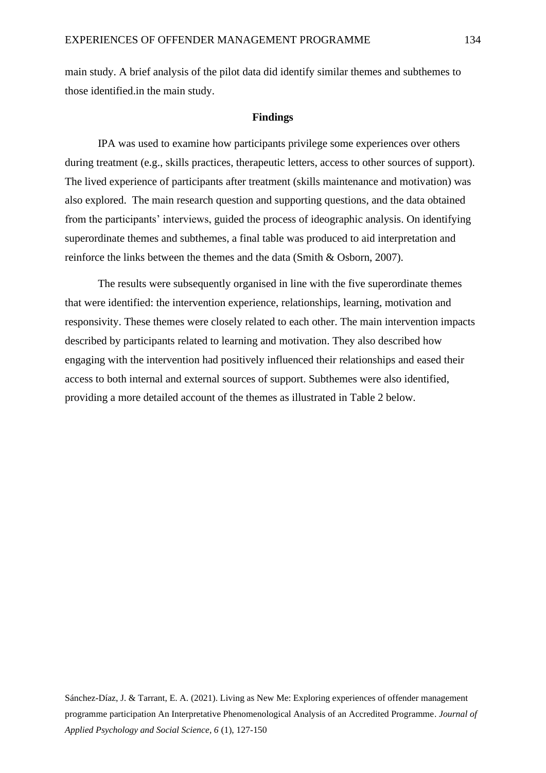main study. A brief analysis of the pilot data did identify similar themes and subthemes to those identified.in the main study.

#### **Findings**

IPA was used to examine how participants privilege some experiences over others during treatment (e.g., skills practices, therapeutic letters, access to other sources of support). The lived experience of participants after treatment (skills maintenance and motivation) was also explored. The main research question and supporting questions, and the data obtained from the participants' interviews, guided the process of ideographic analysis. On identifying superordinate themes and subthemes, a final table was produced to aid interpretation and reinforce the links between the themes and the data (Smith & Osborn, 2007).

The results were subsequently organised in line with the five superordinate themes that were identified: the intervention experience, relationships, learning, motivation and responsivity. These themes were closely related to each other. The main intervention impacts described by participants related to learning and motivation. They also described how engaging with the intervention had positively influenced their relationships and eased their access to both internal and external sources of support. Subthemes were also identified, providing a more detailed account of the themes as illustrated in Table 2 below.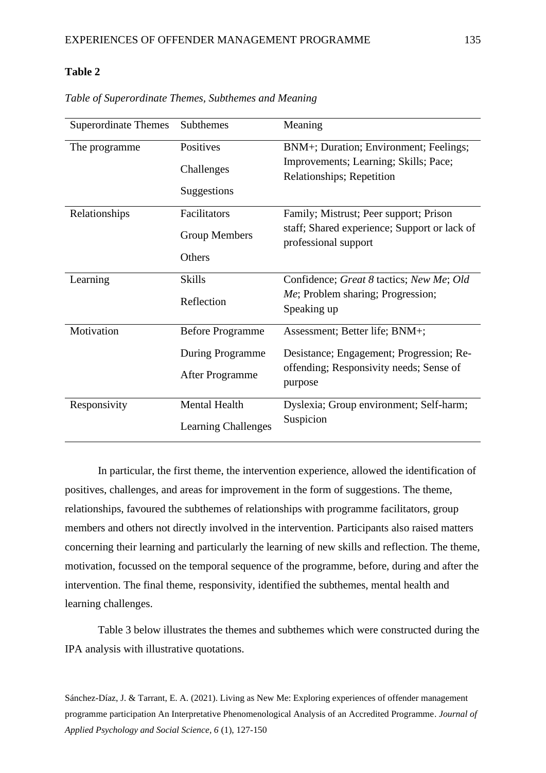# **Table 2**

| <b>Superordinate Themes</b> | Subthemes                  | Meaning                                                              |
|-----------------------------|----------------------------|----------------------------------------------------------------------|
| The programme               | Positives                  | BNM+; Duration; Environment; Feelings;                               |
|                             | Challenges                 | Improvements; Learning; Skills; Pace;<br>Relationships; Repetition   |
|                             | Suggestions                |                                                                      |
| Relationships               | Facilitators               | Family; Mistrust; Peer support; Prison                               |
|                             | <b>Group Members</b>       | staff; Shared experience; Support or lack of<br>professional support |
|                             | Others                     |                                                                      |
| Learning                    | <b>Skills</b>              | Confidence; Great 8 tactics; New Me; Old                             |
|                             | Reflection                 | Me; Problem sharing; Progression;<br>Speaking up                     |
| Motivation                  | <b>Before Programme</b>    | Assessment; Better life; BNM+;                                       |
|                             | During Programme           | Desistance; Engagement; Progression; Re-                             |
|                             | After Programme            | offending; Responsivity needs; Sense of<br>purpose                   |
| Responsivity                | Mental Health              | Dyslexia; Group environment; Self-harm;                              |
|                             | <b>Learning Challenges</b> | Suspicion                                                            |

*Table of Superordinate Themes, Subthemes and Meaning*

In particular, the first theme, the intervention experience, allowed the identification of positives, challenges, and areas for improvement in the form of suggestions. The theme, relationships, favoured the subthemes of relationships with programme facilitators, group members and others not directly involved in the intervention. Participants also raised matters concerning their learning and particularly the learning of new skills and reflection. The theme, motivation, focussed on the temporal sequence of the programme, before, during and after the intervention. The final theme, responsivity, identified the subthemes, mental health and learning challenges.

Table 3 below illustrates the themes and subthemes which were constructed during the IPA analysis with illustrative quotations.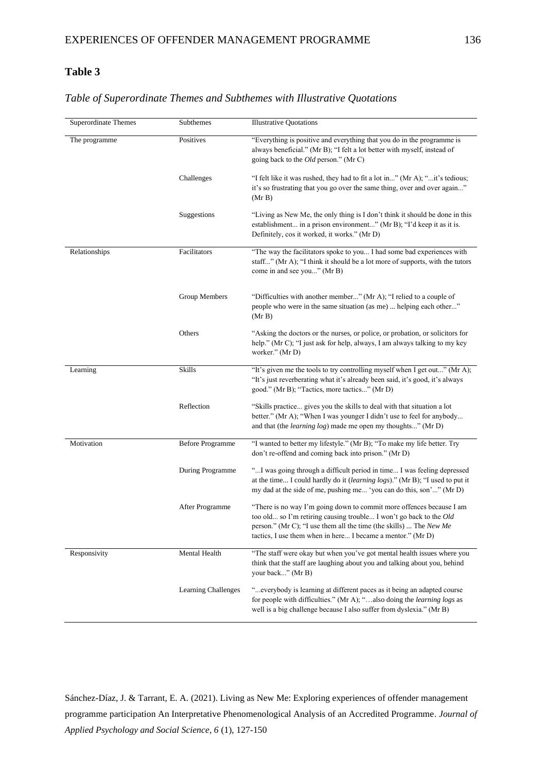# **Table 3**

# *Table of Superordinate Themes and Subthemes with Illustrative Quotations*

| Superordinate Themes | Subthemes               | <b>Illustrative Quotations</b>                                                                                                                                                                                                                                                         |
|----------------------|-------------------------|----------------------------------------------------------------------------------------------------------------------------------------------------------------------------------------------------------------------------------------------------------------------------------------|
| The programme        | Positives               | "Everything is positive and everything that you do in the programme is<br>always beneficial." (Mr B); "I felt a lot better with myself, instead of<br>going back to the <i>Old</i> person." (Mr C)                                                                                     |
|                      | Challenges              | "I felt like it was rushed, they had to fit a lot in" (Mr A); "it's tedious;<br>it's so frustrating that you go over the same thing, over and over again"<br>(Mr B)                                                                                                                    |
|                      | Suggestions             | "Living as New Me, the only thing is I don't think it should be done in this<br>establishment in a prison environment" (Mr B); "I'd keep it as it is.<br>Definitely, cos it worked, it works." (Mr D)                                                                                  |
| Relationships        | Facilitators            | "The way the facilitators spoke to you I had some bad experiences with<br>staff" (Mr A); "I think it should be a lot more of supports, with the tutors<br>come in and see you" (Mr B)                                                                                                  |
|                      | Group Members           | "Difficulties with another member" (Mr A); "I relied to a couple of<br>people who were in the same situation (as me)  helping each other"<br>(Mr B)                                                                                                                                    |
|                      | Others                  | "Asking the doctors or the nurses, or police, or probation, or solicitors for<br>help." (Mr C); "I just ask for help, always, I am always talking to my key<br>worker." (Mr D)                                                                                                         |
| Learning             | Skills                  | "It's given me the tools to try controlling myself when I get out" (Mr A);<br>"It's just reverberating what it's already been said, it's good, it's always<br>good." (Mr B); "Tactics, more tactics" (Mr D)                                                                            |
|                      | Reflection              | "Skills practice gives you the skills to deal with that situation a lot<br>better." (Mr A); "When I was younger I didn't use to feel for anybody<br>and that (the <i>learning log</i> ) made me open my thoughts" (Mr D)                                                               |
| Motivation           | <b>Before Programme</b> | "I wanted to better my lifestyle." (Mr B); "To make my life better. Try<br>don't re-offend and coming back into prison." (Mr D)                                                                                                                                                        |
|                      | During Programme        | " I was going through a difficult period in time I was feeling depressed<br>at the time I could hardly do it (learning logs)." (Mr B); "I used to put it<br>my dad at the side of me, pushing me 'you can do this, son'" (Mr D)                                                        |
|                      | After Programme         | "There is no way I'm going down to commit more offences because I am<br>too old so I'm retiring causing trouble I won't go back to the Old<br>person." (Mr C); "I use them all the time (the skills)  The <i>New Me</i><br>tactics, I use them when in here I became a mentor." (Mr D) |
| Responsivity         | Mental Health           | "The staff were okay but when you've got mental health issues where you<br>think that the staff are laughing about you and talking about you, behind<br>your back" (Mr B)                                                                                                              |
|                      | Learning Challenges     | " everybody is learning at different paces as it being an adapted course<br>for people with difficulties." (Mr A); "also doing the <i>learning logs</i> as<br>well is a big challenge because I also suffer from dyslexia." (Mr B)                                                     |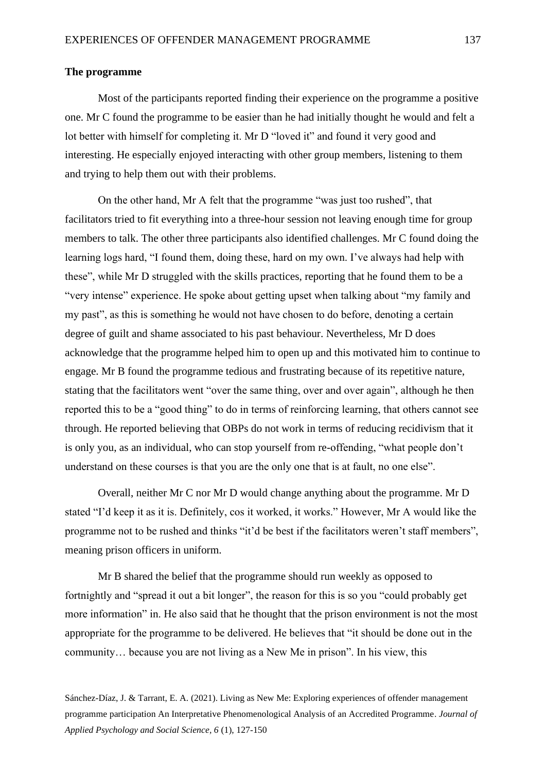# **The programme**

Most of the participants reported finding their experience on the programme a positive one. Mr C found the programme to be easier than he had initially thought he would and felt a lot better with himself for completing it. Mr D "loved it" and found it very good and interesting. He especially enjoyed interacting with other group members, listening to them and trying to help them out with their problems.

On the other hand, Mr A felt that the programme "was just too rushed", that facilitators tried to fit everything into a three-hour session not leaving enough time for group members to talk. The other three participants also identified challenges. Mr C found doing the learning logs hard, "I found them, doing these, hard on my own. I've always had help with these", while Mr D struggled with the skills practices, reporting that he found them to be a "very intense" experience. He spoke about getting upset when talking about "my family and my past", as this is something he would not have chosen to do before, denoting a certain degree of guilt and shame associated to his past behaviour. Nevertheless, Mr D does acknowledge that the programme helped him to open up and this motivated him to continue to engage. Mr B found the programme tedious and frustrating because of its repetitive nature, stating that the facilitators went "over the same thing, over and over again", although he then reported this to be a "good thing" to do in terms of reinforcing learning, that others cannot see through. He reported believing that OBPs do not work in terms of reducing recidivism that it is only you, as an individual, who can stop yourself from re-offending, "what people don't understand on these courses is that you are the only one that is at fault, no one else".

Overall, neither Mr C nor Mr D would change anything about the programme. Mr D stated "I'd keep it as it is. Definitely, cos it worked, it works." However, Mr A would like the programme not to be rushed and thinks "it'd be best if the facilitators weren't staff members", meaning prison officers in uniform.

Mr B shared the belief that the programme should run weekly as opposed to fortnightly and "spread it out a bit longer", the reason for this is so you "could probably get more information" in. He also said that he thought that the prison environment is not the most appropriate for the programme to be delivered. He believes that "it should be done out in the community… because you are not living as a New Me in prison". In his view, this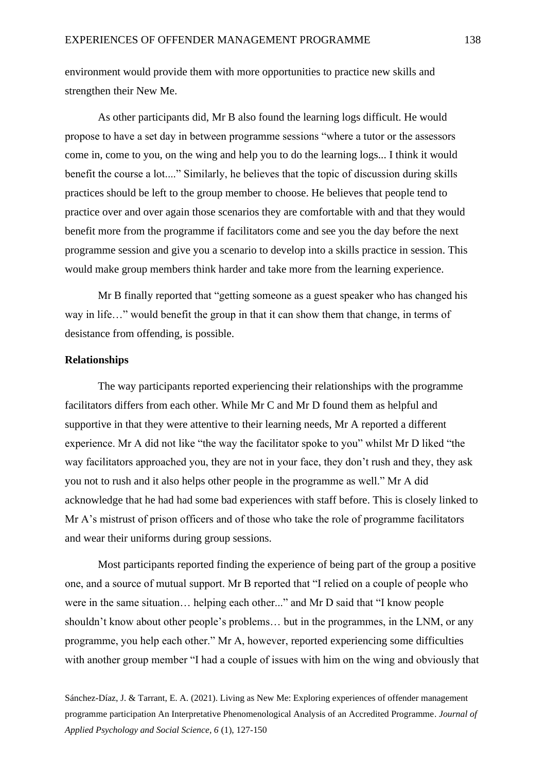environment would provide them with more opportunities to practice new skills and strengthen their New Me.

As other participants did, Mr B also found the learning logs difficult. He would propose to have a set day in between programme sessions "where a tutor or the assessors come in, come to you, on the wing and help you to do the learning logs... I think it would benefit the course a lot...." Similarly, he believes that the topic of discussion during skills practices should be left to the group member to choose. He believes that people tend to practice over and over again those scenarios they are comfortable with and that they would benefit more from the programme if facilitators come and see you the day before the next programme session and give you a scenario to develop into a skills practice in session. This would make group members think harder and take more from the learning experience.

Mr B finally reported that "getting someone as a guest speaker who has changed his way in life…" would benefit the group in that it can show them that change, in terms of desistance from offending, is possible.

### **Relationships**

The way participants reported experiencing their relationships with the programme facilitators differs from each other. While Mr C and Mr D found them as helpful and supportive in that they were attentive to their learning needs, Mr A reported a different experience. Mr A did not like "the way the facilitator spoke to you" whilst Mr D liked "the way facilitators approached you, they are not in your face, they don't rush and they, they ask you not to rush and it also helps other people in the programme as well." Mr A did acknowledge that he had had some bad experiences with staff before. This is closely linked to Mr A's mistrust of prison officers and of those who take the role of programme facilitators and wear their uniforms during group sessions.

Most participants reported finding the experience of being part of the group a positive one, and a source of mutual support. Mr B reported that "I relied on a couple of people who were in the same situation… helping each other..." and Mr D said that "I know people shouldn't know about other people's problems… but in the programmes, in the LNM, or any programme, you help each other." Mr A, however, reported experiencing some difficulties with another group member "I had a couple of issues with him on the wing and obviously that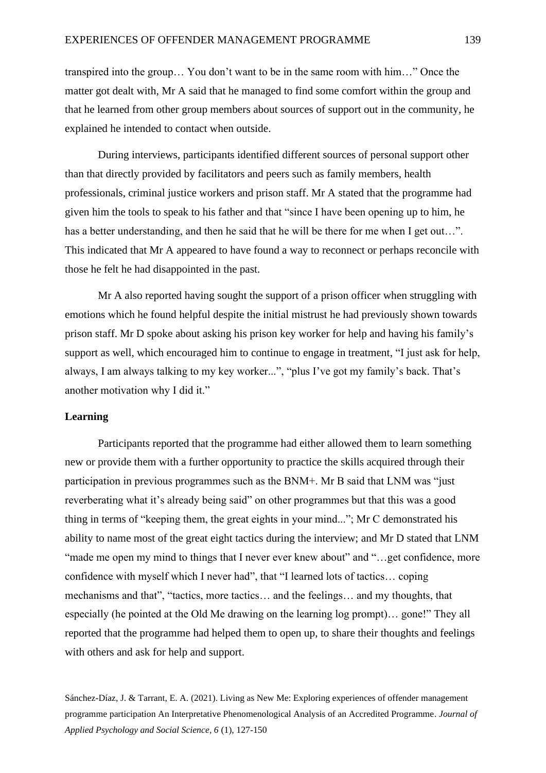transpired into the group… You don't want to be in the same room with him…" Once the matter got dealt with, Mr A said that he managed to find some comfort within the group and that he learned from other group members about sources of support out in the community, he explained he intended to contact when outside.

During interviews, participants identified different sources of personal support other than that directly provided by facilitators and peers such as family members, health professionals, criminal justice workers and prison staff. Mr A stated that the programme had given him the tools to speak to his father and that "since I have been opening up to him, he has a better understanding, and then he said that he will be there for me when I get out...". This indicated that Mr A appeared to have found a way to reconnect or perhaps reconcile with those he felt he had disappointed in the past.

Mr A also reported having sought the support of a prison officer when struggling with emotions which he found helpful despite the initial mistrust he had previously shown towards prison staff. Mr D spoke about asking his prison key worker for help and having his family's support as well, which encouraged him to continue to engage in treatment, "I just ask for help, always, I am always talking to my key worker...", "plus I've got my family's back. That's another motivation why I did it."

# **Learning**

Participants reported that the programme had either allowed them to learn something new or provide them with a further opportunity to practice the skills acquired through their participation in previous programmes such as the BNM+. Mr B said that LNM was "just reverberating what it's already being said" on other programmes but that this was a good thing in terms of "keeping them, the great eights in your mind..."; Mr C demonstrated his ability to name most of the great eight tactics during the interview; and Mr D stated that LNM "made me open my mind to things that I never ever knew about" and "…get confidence, more confidence with myself which I never had", that "I learned lots of tactics… coping mechanisms and that", "tactics, more tactics… and the feelings… and my thoughts, that especially (he pointed at the Old Me drawing on the learning log prompt)… gone!" They all reported that the programme had helped them to open up, to share their thoughts and feelings with others and ask for help and support.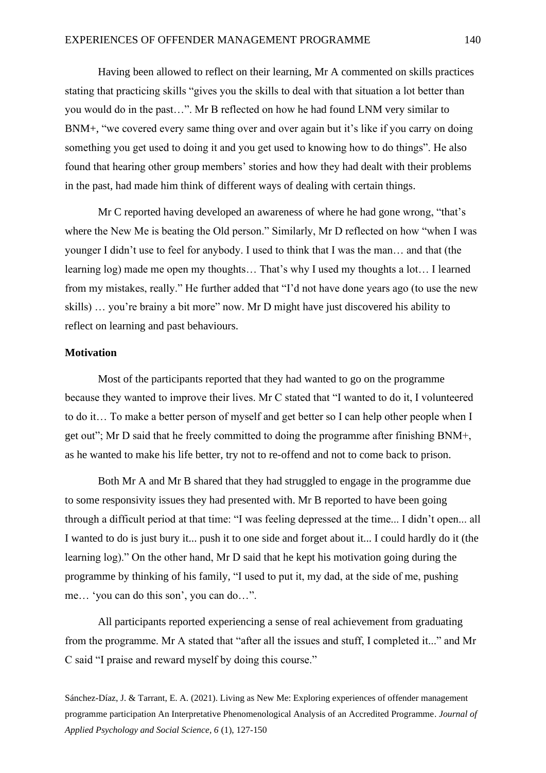Having been allowed to reflect on their learning, Mr A commented on skills practices stating that practicing skills "gives you the skills to deal with that situation a lot better than you would do in the past…". Mr B reflected on how he had found LNM very similar to BNM+, "we covered every same thing over and over again but it's like if you carry on doing something you get used to doing it and you get used to knowing how to do things". He also found that hearing other group members' stories and how they had dealt with their problems in the past, had made him think of different ways of dealing with certain things.

Mr C reported having developed an awareness of where he had gone wrong, "that's where the New Me is beating the Old person." Similarly, Mr D reflected on how "when I was younger I didn't use to feel for anybody. I used to think that I was the man… and that (the learning log) made me open my thoughts… That's why I used my thoughts a lot… I learned from my mistakes, really." He further added that "I'd not have done years ago (to use the new skills) … you're brainy a bit more" now. Mr D might have just discovered his ability to reflect on learning and past behaviours.

# **Motivation**

Most of the participants reported that they had wanted to go on the programme because they wanted to improve their lives. Mr C stated that "I wanted to do it, I volunteered to do it… To make a better person of myself and get better so I can help other people when I get out"; Mr D said that he freely committed to doing the programme after finishing BNM+, as he wanted to make his life better, try not to re-offend and not to come back to prison.

Both Mr A and Mr B shared that they had struggled to engage in the programme due to some responsivity issues they had presented with. Mr B reported to have been going through a difficult period at that time: "I was feeling depressed at the time... I didn't open... all I wanted to do is just bury it... push it to one side and forget about it... I could hardly do it (the learning log)." On the other hand, Mr D said that he kept his motivation going during the programme by thinking of his family, "I used to put it, my dad, at the side of me, pushing me… 'you can do this son', you can do…".

All participants reported experiencing a sense of real achievement from graduating from the programme. Mr A stated that "after all the issues and stuff, I completed it..." and Mr C said "I praise and reward myself by doing this course."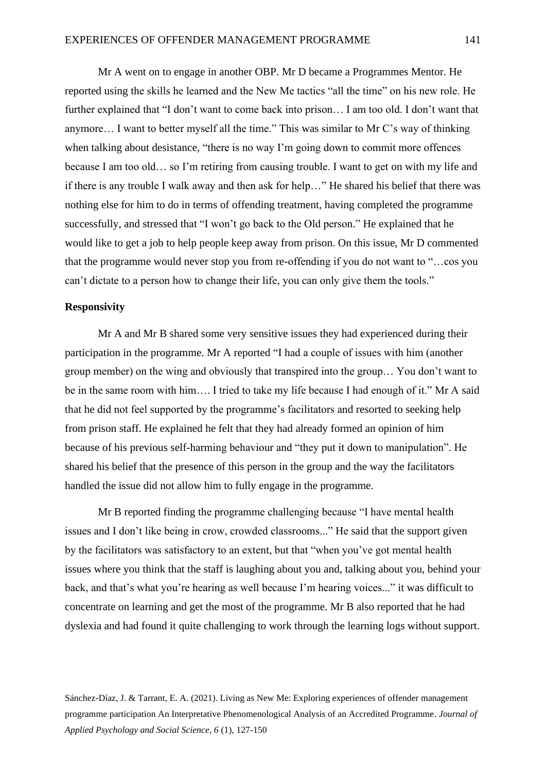Mr A went on to engage in another OBP. Mr D became a Programmes Mentor. He reported using the skills he learned and the New Me tactics "all the time" on his new role. He further explained that "I don't want to come back into prison… I am too old. I don't want that anymore… I want to better myself all the time." This was similar to Mr C's way of thinking when talking about desistance, "there is no way I'm going down to commit more offences" because I am too old… so I'm retiring from causing trouble. I want to get on with my life and if there is any trouble I walk away and then ask for help…" He shared his belief that there was nothing else for him to do in terms of offending treatment, having completed the programme successfully, and stressed that "I won't go back to the Old person." He explained that he would like to get a job to help people keep away from prison. On this issue, Mr D commented that the programme would never stop you from re-offending if you do not want to "…cos you can't dictate to a person how to change their life, you can only give them the tools."

### **Responsivity**

Mr A and Mr B shared some very sensitive issues they had experienced during their participation in the programme. Mr A reported "I had a couple of issues with him (another group member) on the wing and obviously that transpired into the group… You don't want to be in the same room with him…. I tried to take my life because I had enough of it." Mr A said that he did not feel supported by the programme's facilitators and resorted to seeking help from prison staff. He explained he felt that they had already formed an opinion of him because of his previous self-harming behaviour and "they put it down to manipulation". He shared his belief that the presence of this person in the group and the way the facilitators handled the issue did not allow him to fully engage in the programme.

Mr B reported finding the programme challenging because "I have mental health issues and I don't like being in crow, crowded classrooms..." He said that the support given by the facilitators was satisfactory to an extent, but that "when you've got mental health issues where you think that the staff is laughing about you and, talking about you, behind your back, and that's what you're hearing as well because I'm hearing voices..." it was difficult to concentrate on learning and get the most of the programme. Mr B also reported that he had dyslexia and had found it quite challenging to work through the learning logs without support.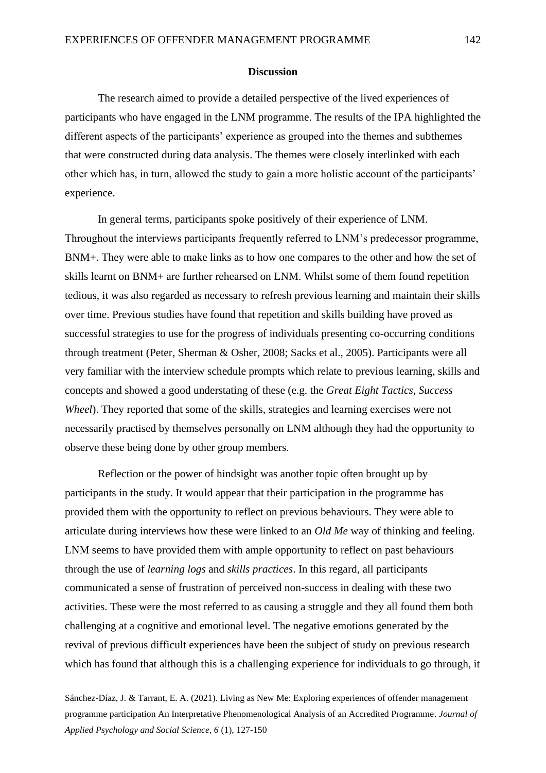# **Discussion**

The research aimed to provide a detailed perspective of the lived experiences of participants who have engaged in the LNM programme. The results of the IPA highlighted the different aspects of the participants' experience as grouped into the themes and subthemes that were constructed during data analysis. The themes were closely interlinked with each other which has, in turn, allowed the study to gain a more holistic account of the participants' experience.

In general terms, participants spoke positively of their experience of LNM. Throughout the interviews participants frequently referred to LNM's predecessor programme, BNM+. They were able to make links as to how one compares to the other and how the set of skills learnt on BNM+ are further rehearsed on LNM. Whilst some of them found repetition tedious, it was also regarded as necessary to refresh previous learning and maintain their skills over time. Previous studies have found that repetition and skills building have proved as successful strategies to use for the progress of individuals presenting co-occurring conditions through treatment (Peter, Sherman & Osher, 2008; Sacks et al., 2005). Participants were all very familiar with the interview schedule prompts which relate to previous learning, skills and concepts and showed a good understating of these (e.g. the *Great Eight Tactics*, *Success Wheel*). They reported that some of the skills, strategies and learning exercises were not necessarily practised by themselves personally on LNM although they had the opportunity to observe these being done by other group members.

Reflection or the power of hindsight was another topic often brought up by participants in the study. It would appear that their participation in the programme has provided them with the opportunity to reflect on previous behaviours. They were able to articulate during interviews how these were linked to an *Old Me* way of thinking and feeling. LNM seems to have provided them with ample opportunity to reflect on past behaviours through the use of *learning logs* and *skills practices*. In this regard, all participants communicated a sense of frustration of perceived non-success in dealing with these two activities. These were the most referred to as causing a struggle and they all found them both challenging at a cognitive and emotional level. The negative emotions generated by the revival of previous difficult experiences have been the subject of study on previous research which has found that although this is a challenging experience for individuals to go through, it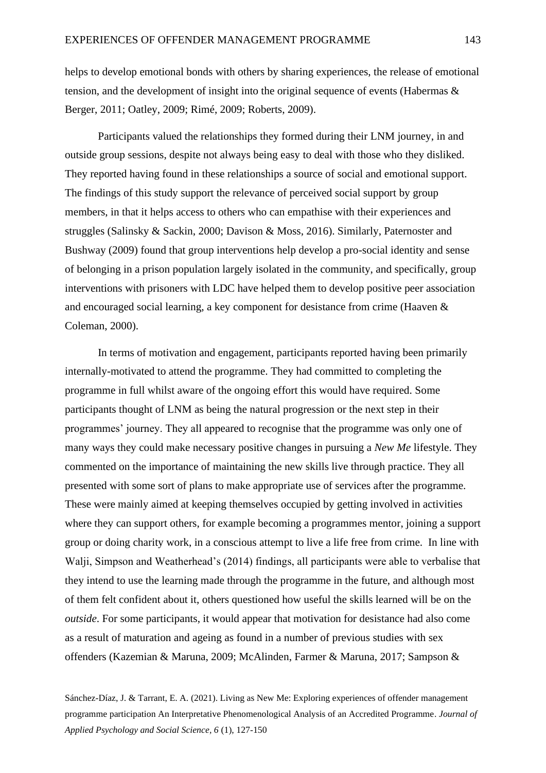helps to develop emotional bonds with others by sharing experiences, the release of emotional tension, and the development of insight into the original sequence of events (Habermas & Berger, 2011; Oatley, 2009; Rimé, 2009; Roberts, 2009).

Participants valued the relationships they formed during their LNM journey, in and outside group sessions, despite not always being easy to deal with those who they disliked. They reported having found in these relationships a source of social and emotional support. The findings of this study support the relevance of perceived social support by group members, in that it helps access to others who can empathise with their experiences and struggles (Salinsky & Sackin, 2000; Davison & Moss, 2016). Similarly, Paternoster and Bushway (2009) found that group interventions help develop a pro-social identity and sense of belonging in a prison population largely isolated in the community, and specifically, group interventions with prisoners with LDC have helped them to develop positive peer association and encouraged social learning, a key component for desistance from crime (Haaven & Coleman, 2000).

In terms of motivation and engagement, participants reported having been primarily internally-motivated to attend the programme. They had committed to completing the programme in full whilst aware of the ongoing effort this would have required. Some participants thought of LNM as being the natural progression or the next step in their programmes' journey. They all appeared to recognise that the programme was only one of many ways they could make necessary positive changes in pursuing a *New Me* lifestyle. They commented on the importance of maintaining the new skills live through practice. They all presented with some sort of plans to make appropriate use of services after the programme. These were mainly aimed at keeping themselves occupied by getting involved in activities where they can support others, for example becoming a programmes mentor, joining a support group or doing charity work, in a conscious attempt to live a life free from crime. In line with Walji, Simpson and Weatherhead's (2014) findings, all participants were able to verbalise that they intend to use the learning made through the programme in the future, and although most of them felt confident about it, others questioned how useful the skills learned will be on the *outside*. For some participants, it would appear that motivation for desistance had also come as a result of maturation and ageing as found in a number of previous studies with sex offenders (Kazemian & Maruna, 2009; McAlinden, Farmer & Maruna, 2017; Sampson &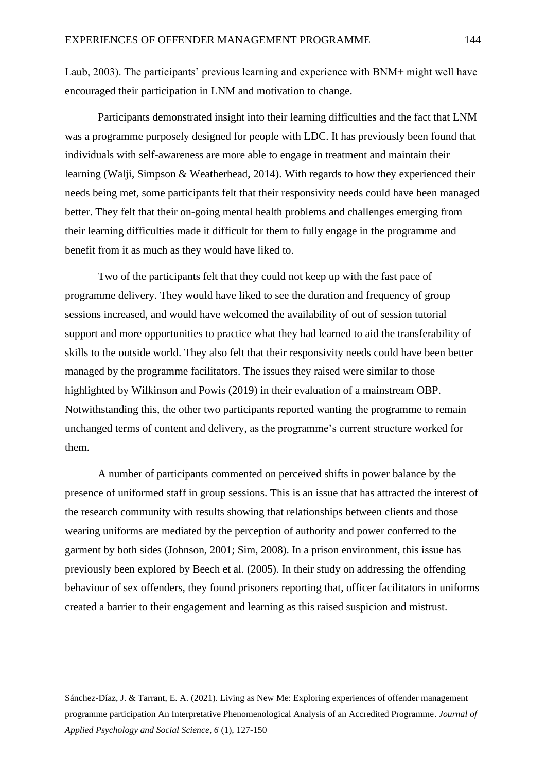Laub, 2003). The participants' previous learning and experience with BNM+ might well have encouraged their participation in LNM and motivation to change.

Participants demonstrated insight into their learning difficulties and the fact that LNM was a programme purposely designed for people with LDC. It has previously been found that individuals with self-awareness are more able to engage in treatment and maintain their learning (Walji, Simpson & Weatherhead, 2014). With regards to how they experienced their needs being met, some participants felt that their responsivity needs could have been managed better. They felt that their on-going mental health problems and challenges emerging from their learning difficulties made it difficult for them to fully engage in the programme and benefit from it as much as they would have liked to.

Two of the participants felt that they could not keep up with the fast pace of programme delivery. They would have liked to see the duration and frequency of group sessions increased, and would have welcomed the availability of out of session tutorial support and more opportunities to practice what they had learned to aid the transferability of skills to the outside world. They also felt that their responsivity needs could have been better managed by the programme facilitators. The issues they raised were similar to those highlighted by Wilkinson and Powis (2019) in their evaluation of a mainstream OBP. Notwithstanding this, the other two participants reported wanting the programme to remain unchanged terms of content and delivery, as the programme's current structure worked for them.

A number of participants commented on perceived shifts in power balance by the presence of uniformed staff in group sessions. This is an issue that has attracted the interest of the research community with results showing that relationships between clients and those wearing uniforms are mediated by the perception of authority and power conferred to the garment by both sides (Johnson, 2001; Sim, 2008). In a prison environment, this issue has previously been explored by Beech et al. (2005). In their study on addressing the offending behaviour of sex offenders, they found prisoners reporting that, officer facilitators in uniforms created a barrier to their engagement and learning as this raised suspicion and mistrust.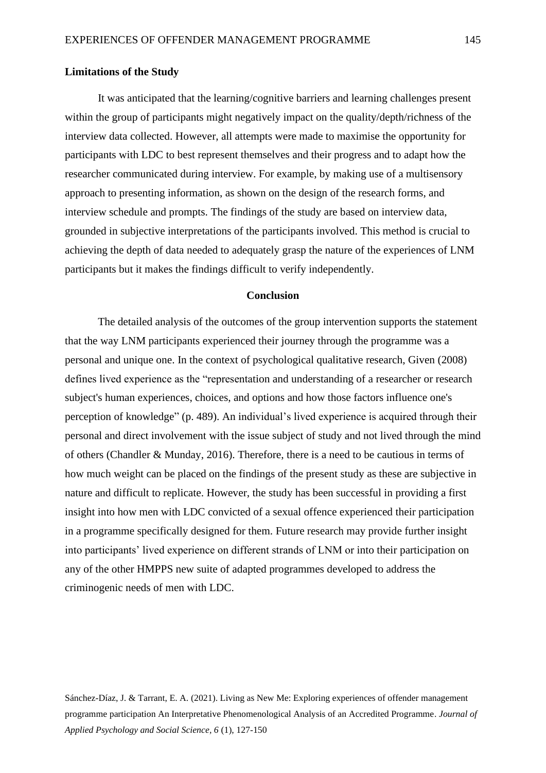### **Limitations of the Study**

It was anticipated that the learning/cognitive barriers and learning challenges present within the group of participants might negatively impact on the quality/depth/richness of the interview data collected. However, all attempts were made to maximise the opportunity for participants with LDC to best represent themselves and their progress and to adapt how the researcher communicated during interview. For example, by making use of a multisensory approach to presenting information, as shown on the design of the research forms, and interview schedule and prompts. The findings of the study are based on interview data, grounded in subjective interpretations of the participants involved. This method is crucial to achieving the depth of data needed to adequately grasp the nature of the experiences of LNM participants but it makes the findings difficult to verify independently.

# **Conclusion**

The detailed analysis of the outcomes of the group intervention supports the statement that the way LNM participants experienced their journey through the programme was a personal and unique one. In the context of psychological qualitative research, Given (2008) defines lived experience as the "representation and understanding of a researcher or research subject's human experiences, choices, and options and how those factors influence one's perception of knowledge" (p. 489). An individual's lived experience is acquired through their personal and direct involvement with the issue subject of study and not lived through the mind of others (Chandler & Munday, 2016). Therefore, there is a need to be cautious in terms of how much weight can be placed on the findings of the present study as these are subjective in nature and difficult to replicate. However, the study has been successful in providing a first insight into how men with LDC convicted of a sexual offence experienced their participation in a programme specifically designed for them. Future research may provide further insight into participants' lived experience on different strands of LNM or into their participation on any of the other HMPPS new suite of adapted programmes developed to address the criminogenic needs of men with LDC.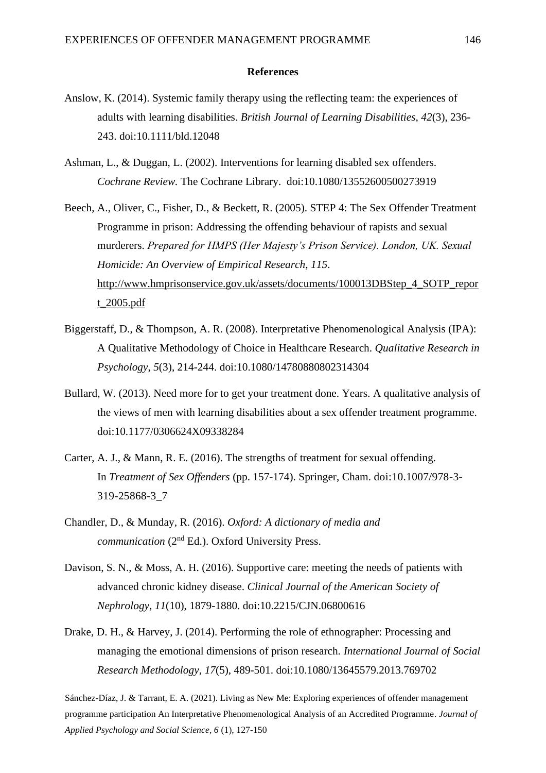#### **References**

- Anslow, K. (2014). Systemic family therapy using the reflecting team: the experiences of adults with learning disabilities. *British Journal of Learning Disabilities*, *42*(3), 236- 243. doi:10.1111/bld.12048
- Ashman, L., & Duggan, L. (2002). Interventions for learning disabled sex offenders. *Cochrane Review.* The Cochrane Library. doi:10.1080/13552600500273919
- Beech, A., Oliver, C., Fisher, D., & Beckett, R. (2005). STEP 4: The Sex Offender Treatment Programme in prison: Addressing the offending behaviour of rapists and sexual murderers. *Prepared for HMPS (Her Majesty's Prison Service). London, UK. Sexual Homicide: An Overview of Empirical Research*, *115*. [http://www.hmprisonservice.gov.uk/assets/documents/100013DBStep\\_4\\_SOTP\\_repor](http://www.hmprisonservice.gov.uk/assets/documents/100013DBStep_4_SOTP_report_2005.pdf) [t\\_2005.pdf](http://www.hmprisonservice.gov.uk/assets/documents/100013DBStep_4_SOTP_report_2005.pdf)
- Biggerstaff, D., & Thompson, A. R. (2008). Interpretative Phenomenological Analysis (IPA): A Qualitative Methodology of Choice in Healthcare Research. *Qualitative Research in Psychology*, *5*(3), 214-244. doi:10.1080/14780880802314304
- Bullard, W. (2013). Need more for to get your treatment done. Years. A qualitative analysis of the views of men with learning disabilities about a sex offender treatment programme. doi:10.1177/0306624X09338284
- Carter, A. J., & Mann, R. E. (2016). The strengths of treatment for sexual offending. In *Treatment of Sex Offenders* (pp. 157-174). Springer, Cham. doi:10.1007/978-3- 319-25868-3\_7
- Chandler, D., & Munday, R. (2016). *Oxford: A dictionary of media and communication* (2nd Ed.). Oxford University Press.
- Davison, S. N., & Moss, A. H. (2016). Supportive care: meeting the needs of patients with advanced chronic kidney disease. *Clinical Journal of the American Society of Nephrology*, *11*(10), 1879-1880. doi:10.2215/CJN.06800616
- Drake, D. H., & Harvey, J. (2014). Performing the role of ethnographer: Processing and managing the emotional dimensions of prison research. *International Journal of Social Research Methodology*, *17*(5), 489-501. doi:10.1080/13645579.2013.769702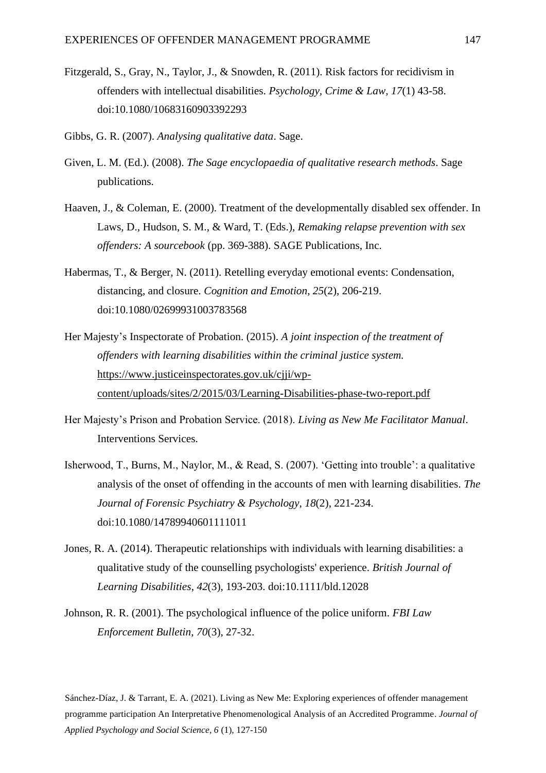- Fitzgerald, S., Gray, N., Taylor, J., & Snowden, R. (2011). Risk factors for recidivism in offenders with intellectual disabilities. *Psychology, Crime & Law, 17*(1) 43-58. doi:10.1080/10683160903392293
- Gibbs, G. R. (2007). *Analysing qualitative data*. Sage.
- Given, L. M. (Ed.). (2008). *The Sage encyclopaedia of qualitative research methods*. Sage publications.
- Haaven, J., & Coleman, E. (2000). Treatment of the developmentally disabled sex offender. In Laws, D., Hudson, S. M., & Ward, T. (Eds.), *Remaking relapse prevention with sex offenders: A sourcebook* (pp. 369-388). SAGE Publications, Inc.
- Habermas, T., & Berger, N. (2011). Retelling everyday emotional events: Condensation, distancing, and closure. *Cognition and Emotion*, *25*(2), 206-219. doi:10.1080/02699931003783568
- Her Majesty's Inspectorate of Probation. (2015). *A joint inspection of the treatment of offenders with learning disabilities within the criminal justice system.* [https://www.justiceinspectorates.gov.uk/cjji/wp](https://www.justiceinspectorates.gov.uk/cjji/wp-content/uploads/sites/2/2015/03/Learning-Disabilities-phase-two-report.pdf)[content/uploads/sites/2/2015/03/Learning-Disabilities-phase-two-report.pdf](https://www.justiceinspectorates.gov.uk/cjji/wp-content/uploads/sites/2/2015/03/Learning-Disabilities-phase-two-report.pdf)
- Her Majesty's Prison and Probation Service. (2018). *Living as New Me Facilitator Manual*. Interventions Services.
- Isherwood, T., Burns, M., Naylor, M., & Read, S. (2007). 'Getting into trouble': a qualitative analysis of the onset of offending in the accounts of men with learning disabilities. *The Journal of Forensic Psychiatry & Psychology*, *18*(2), 221-234. doi:10.1080/14789940601111011
- Jones, R. A. (2014). Therapeutic relationships with individuals with learning disabilities: a qualitative study of the counselling psychologists' experience. *British Journal of Learning Disabilities*, *42*(3), 193-203. doi:10.1111/bld.12028
- Johnson, R. R. (2001). The psychological influence of the police uniform. *FBI Law Enforcement Bulletin, 70*(3), 27-32.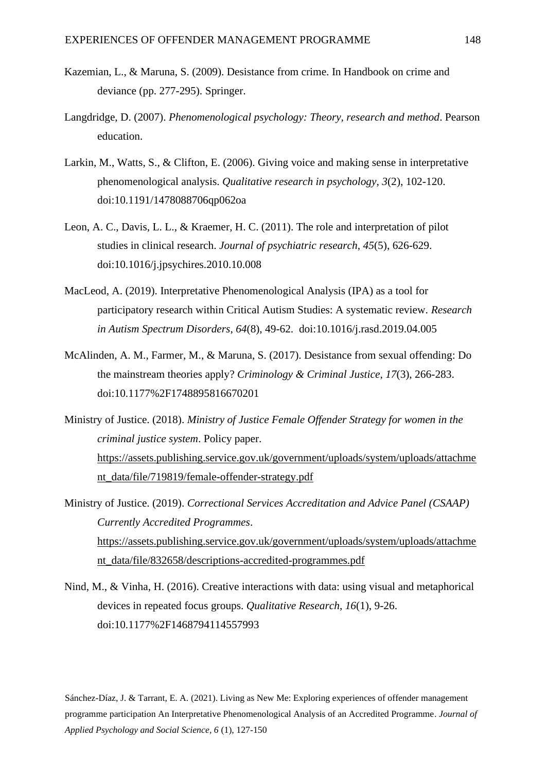- Kazemian, L., & Maruna, S. (2009). Desistance from crime. In Handbook on crime and deviance (pp. 277-295). Springer.
- Langdridge, D. (2007). *Phenomenological psychology: Theory, research and method*. Pearson education.
- Larkin, M., Watts, S., & Clifton, E. (2006). Giving voice and making sense in interpretative phenomenological analysis. *Qualitative research in psychology*, *3*(2), 102-120. doi:10.1191/1478088706qp062oa
- Leon, A. C., Davis, L. L., & Kraemer, H. C. (2011). The role and interpretation of pilot studies in clinical research. *Journal of psychiatric research*, *45*(5), 626-629. doi:10.1016/j.jpsychires.2010.10.008
- MacLeod, A. (2019). Interpretative Phenomenological Analysis (IPA) as a tool for participatory research within Critical Autism Studies: A systematic review. *Research in Autism Spectrum Disorders*, *64*(8), 49-62. doi:10.1016/j.rasd.2019.04.005
- McAlinden, A. M., Farmer, M., & Maruna, S. (2017). Desistance from sexual offending: Do the mainstream theories apply? *Criminology & Criminal Justice*, *17*(3), 266-283. doi:10.1177%2F1748895816670201
- Ministry of Justice. (2018). *Ministry of Justice Female Offender Strategy for women in the criminal justice system*. Policy paper. [https://assets.publishing.service.gov.uk/government/uploads/system/uploads/attachme](https://assets.publishing.service.gov.uk/government/uploads/system/uploads/attachment_data/file/719819/female-offender-strategy.pdf) [nt\\_data/file/719819/female-offender-strategy.pdf](https://assets.publishing.service.gov.uk/government/uploads/system/uploads/attachment_data/file/719819/female-offender-strategy.pdf)
- Ministry of Justice. (2019). *Correctional Services Accreditation and Advice Panel (CSAAP) Currently Accredited Programmes*. [https://assets.publishing.service.gov.uk/government/uploads/system/uploads/attachme](https://assets.publishing.service.gov.uk/government/uploads/system/uploads/attachment_data/file/832658/descriptions-accredited-programmes.pdf) [nt\\_data/file/832658/descriptions-accredited-programmes.pdf](https://assets.publishing.service.gov.uk/government/uploads/system/uploads/attachment_data/file/832658/descriptions-accredited-programmes.pdf)
- Nind, M., & Vinha, H. (2016). Creative interactions with data: using visual and metaphorical devices in repeated focus groups. *Qualitative Research*, *16*(1), 9-26. doi:10.1177%2F1468794114557993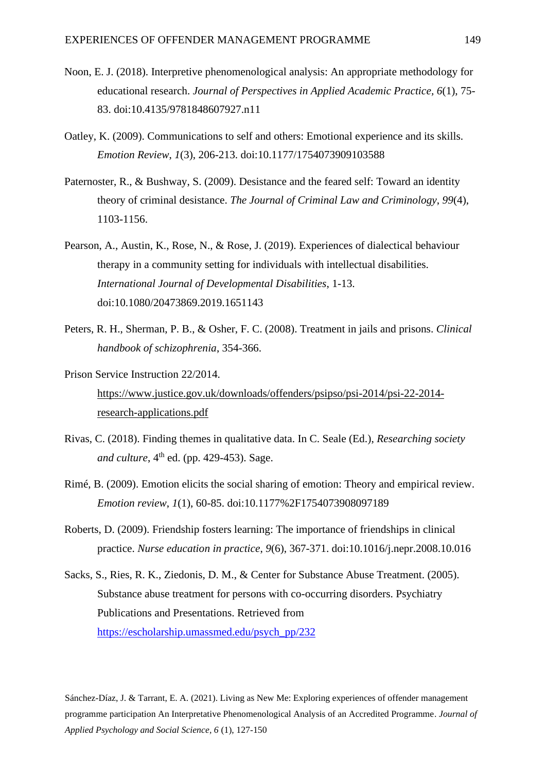- Noon, E. J. (2018). Interpretive phenomenological analysis: An appropriate methodology for educational research. *Journal of Perspectives in Applied Academic Practice, 6*(1), 75- 83. doi:10.4135/9781848607927.n11
- Oatley, K. (2009). Communications to self and others: Emotional experience and its skills. *Emotion Review*, *1*(3), 206-213. doi:10.1177/1754073909103588
- Paternoster, R., & Bushway, S. (2009). Desistance and the feared self: Toward an identity theory of criminal desistance. *The Journal of Criminal Law and Criminology*, *99*(4), 1103-1156.
- Pearson, A., Austin, K., Rose, N., & Rose, J. (2019). Experiences of dialectical behaviour therapy in a community setting for individuals with intellectual disabilities. *International Journal of Developmental Disabilities*, 1-13. doi:10.1080/20473869.2019.1651143
- Peters, R. H., Sherman, P. B., & Osher, F. C. (2008). Treatment in jails and prisons. *Clinical handbook of schizophrenia*, 354-366.
- Prison Service Instruction 22/2014. [https://www.justice.gov.uk/downloads/offenders/psipso/psi-2014/psi-22-2014](https://www.justice.gov.uk/downloads/offenders/psipso/psi-2014/psi-22-2014-research-applications.pdf) [research-applications.pdf](https://www.justice.gov.uk/downloads/offenders/psipso/psi-2014/psi-22-2014-research-applications.pdf)
- Rivas, C. (2018). Finding themes in qualitative data. In C. Seale (Ed.), *Researching society*  and culture,  $4<sup>th</sup>$  ed. (pp. 429-453). Sage.
- Rimé, B. (2009). Emotion elicits the social sharing of emotion: Theory and empirical review. *Emotion review*, *1*(1), 60-85. doi:10.1177%2F1754073908097189
- Roberts, D. (2009). Friendship fosters learning: The importance of friendships in clinical practice. *Nurse education in practice*, *9*(6), 367-371. doi:10.1016/j.nepr.2008.10.016
- Sacks, S., Ries, R. K., Ziedonis, D. M., & Center for Substance Abuse Treatment. (2005). Substance abuse treatment for persons with co-occurring disorders. Psychiatry Publications and Presentations. Retrieved from [https://escholarship.umassmed.edu/psych\\_pp/232](https://escholarship.umassmed.edu/psych_pp/232)